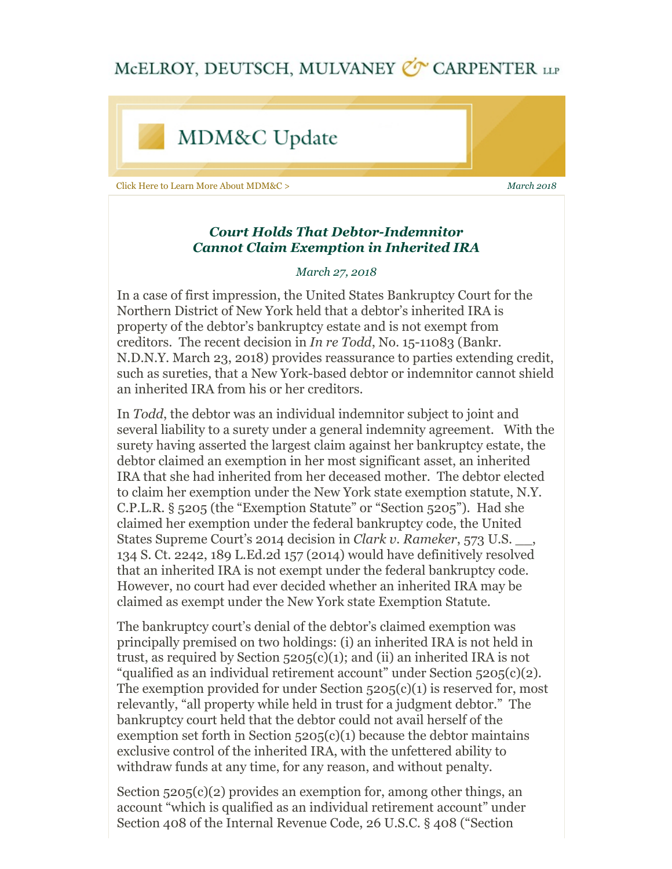## MCELROY, DEUTSCH, MULVANEY CO CARPENTER LLP



## *Court Holds That Debtor-Indemnitor Cannot Claim Exemption in Inherited IRA*

## *March 27, 2018*

In a case of first impression, the United States Bankruptcy Court for the Northern District of New York held that a debtor's inherited IRA is property of the debtor's bankruptcy estate and is not exempt from creditors. The recent decision in *In re Todd*, No. 15-11083 (Bankr. N.D.N.Y. March 23, 2018) provides reassurance to parties extending credit, such as sureties, that a New York-based debtor or indemnitor cannot shield an inherited IRA from his or her creditors.

In *Todd*, the debtor was an individual indemnitor subject to joint and several liability to a surety under a general indemnity agreement. With the surety having asserted the largest claim against her bankruptcy estate, the debtor claimed an exemption in her most significant asset, an inherited IRA that she had inherited from her deceased mother. The debtor elected to claim her exemption under the New York state exemption statute, N.Y. C.P.L.R. § 5205 (the "Exemption Statute" or "Section 5205"). Had she claimed her exemption under the federal bankruptcy code, the United States Supreme Court's 2014 decision in *Clark v. Rameker*, 573 U.S. \_\_, 134 S. Ct. 2242, 189 L.Ed.2d 157 (2014) would have definitively resolved that an inherited IRA is not exempt under the federal bankruptcy code. However, no court had ever decided whether an inherited IRA may be claimed as exempt under the New York state Exemption Statute.

The bankruptcy court's denial of the debtor's claimed exemption was principally premised on two holdings: (i) an inherited IRA is not held in trust, as required by Section  $5205(c)(1)$ ; and (ii) an inherited IRA is not "qualified as an individual retirement account" under Section 5205(c)(2). The exemption provided for under Section  $5205(c)(1)$  is reserved for, most relevantly, "all property while held in trust for a judgment debtor." The bankruptcy court held that the debtor could not avail herself of the exemption set forth in Section  $5205(c)(1)$  because the debtor maintains exclusive control of the inherited IRA, with the unfettered ability to withdraw funds at any time, for any reason, and without penalty.

Section  $5205(c)(2)$  provides an exemption for, among other things, an account "which is qualified as an individual retirement account" under Section 408 of the Internal Revenue Code, 26 U.S.C. § 408 ("Section